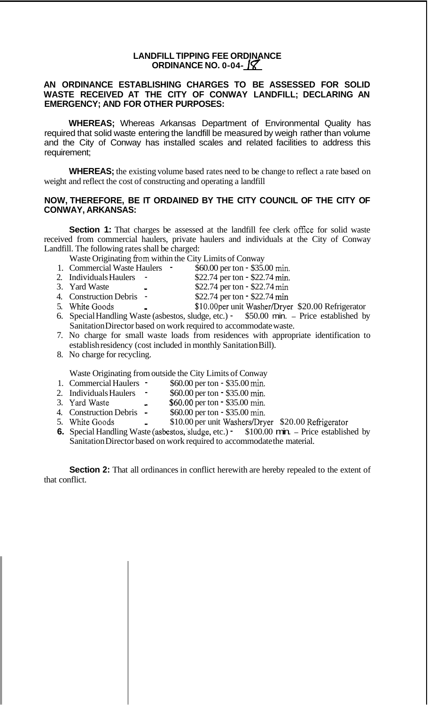## **LANDFILL TIPPING FEE ORDINANCE ORDINANCE NO. 0-04-**

## **AN ORDINANCE ESTABLISHING CHARGES TO BE ASSESSED FOR SOLID WASTE RECEIVED AT THE CITY OF CONWAY LANDFILL; DECLARING AN EMERGENCY; AND FOR OTHER PURPOSES:**

**WHEREAS;** Whereas Arkansas Department of Environmental Quality has required that solid waste entering the landfill be measured by weigh rather than volume and the City of Conway has installed scales and related facilities to address this requirement;

**WHEREAS;** the existing volume based rates need to be change to reflect a rate based on weight and reflect the cost of constructing and operating a landfill

## **NOW, THEREFORE, BE IT ORDAINED BY THE CITY COUNCIL OF THE CITY OF CONWAY, ARKANSAS:**

**Section 1:** That charges be assessed at the landfill fee clerk office for solid waste received from commercial haulers, private haulers and individuals at the City of Conway Landfill. The following rates shall be charged:

Waste Originating fiom within the City Limits of Conway

- 1. Commercial Waste Haulers \$60.00 per ton \$35.00 **min.**
- 2. Individuals Haulers \$22.74 per ton \$22.74 min.<br>3. Yard Waste \$22.74 per ton \$22.74 min.
- 
- \$22.74 per ton \$22.74 min
- 4. Construction Debris \$22.74 per ton \$22.74 min<br>5. White Goods \$10.00per unit Washer/Drve
	- \$10.00per unit Washer/Dryer \$20.00 Refrigerator
- 6. Special Handling Waste (asbestos, sludge, etc.) \$50.00 min. Price established by Sanitation Director based on work required to accommodate waste.
- 7. No charge for small waste loads from residences with appropriate identification to establish residency (cost included in monthly Sanitation Bill).
- 8. No charge for recycling.

Waste Originating from outside the City Limits of Conway

- 1. Commercial Haulers \$60.00 per ton \$35.00 **min.**
- 2. Individuals Haulers \$60.00 per ton \$35.00 min.
- 3. YardWa.de **\$60.00** per ton \$35.00 **min.**
- 4. Construction Debris \$60.00 per ton \$35.00 min.
- 5. White Goods \$10.00 per unit Washers/Dryer \$20.00 Refrigerator
- 5. while Goods<br>**6.** Special Handling Waste (asbestos, sludge, etc.) \$100.00 min. Price established by Sanitation Director based on work required to accommodate the material.

**Section 2:** That all ordinances in conflict herewith are hereby repealed to the extent of that conflict.